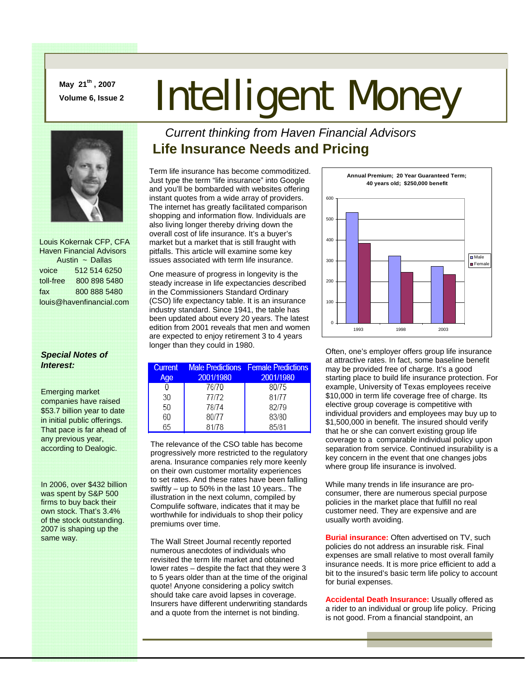**May 21th , 2007** 

# **May 21<sup>th</sup>, 2007<br>Volume 6, Issue 2 Intelligent Money**



 Louis Kokernak CFP, CFA Haven Financial Advisors Austin ~ Dallas voice 512 514 6250 toll-free 800 898 5480 fax 800 888 5480 louis@havenfinancial.com

## *Special Notes of Interest:*

Emerging market companies have raised \$53.7 billion year to date in initial public offerings. That pace is far ahead of any previous year, according to Dealogic.

In 2006, over \$432 billion was spent by S&P 500 firms to buy back their own stock. That's 3.4% of the stock outstanding. 2007 is shaping up the same way.

## *Current thinking from Haven Financial Advisors*  **Life Insurance Needs and Pricing**

Term life insurance has become commoditized. Just type the term "life insurance" into Google and you'll be bombarded with websites offering instant quotes from a wide array of providers. The internet has greatly facilitated comparison shopping and information flow. Individuals are also living longer thereby driving down the overall cost of life insurance. It's a buyer's market but a market that is still fraught with pitfalls. This article will examine some key issues associated with term life insurance.

One measure of progress in longevity is the steady increase in life expectancies described in the Commissioners Standard Ordinary (CSO) life expectancy table. It is an insurance industry standard. Since 1941, the table has been updated about every 20 years. The latest edition from 2001 reveals that men and women are expected to enjoy retirement 3 to 4 years longer than they could in 1980.

| <b>Current</b> |           | <b>Male Predictions</b> Female Predictions |
|----------------|-----------|--------------------------------------------|
| Age            | 2001/1980 | 2001/1980                                  |
|                | 76/70     | 80/75                                      |
| 30             | 77/72     | 81/77                                      |
| 50             | 78/74     | 82/79                                      |
| 60             | 80/77     | 83/80                                      |
| 65             | 81/78     | 85/81                                      |

The relevance of the CSO table has become progressively more restricted to the regulatory arena. Insurance companies rely more keenly on their own customer mortality experiences to set rates. And these rates have been falling swiftly – up to 50% in the last 10 years.. The illustration in the next column, compiled by Compulife software, indicates that it may be worthwhile for individuals to shop their policy premiums over time.

The Wall Street Journal recently reported numerous anecdotes of individuals who revisited the term life market and obtained lower rates – despite the fact that they were 3 to 5 years older than at the time of the original quote! Anyone considering a policy switch should take care avoid lapses in coverage. Insurers have different underwriting standards and a quote from the internet is not binding.



Often, one's employer offers group life insurance at attractive rates. In fact, some baseline benefit may be provided free of charge. It's a good starting place to build life insurance protection. For example, University of Texas employees receive \$10,000 in term life coverage free of charge. Its elective group coverage is competitive with individual providers and employees may buy up to \$1,500,000 in benefit. The insured should verify that he or she can convert existing group life coverage to a comparable individual policy upon separation from service. Continued insurability is a key concern in the event that one changes jobs where group life insurance is involved.

While many trends in life insurance are proconsumer, there are numerous special purpose policies in the market place that fulfill no real customer need. They are expensive and are usually worth avoiding.

**Burial insurance:** Often advertised on TV, such policies do not address an insurable risk. Final expenses are small relative to most overall family insurance needs. It is more price efficient to add a bit to the insured's basic term life policy to account for burial expenses.

**Accidental Death Insurance:** Usually offered as a rider to an individual or group life policy. Pricing is not good. From a financial standpoint, an